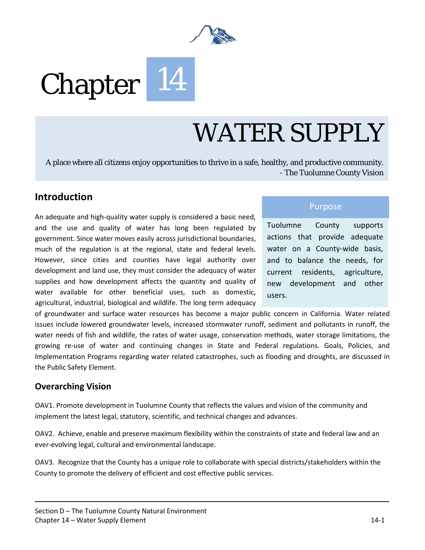

# Chapter 14

## WATER SUPPLY

A place where all citizens enjoy opportunities to thrive in a safe, healthy, and productive community. - The Tuolumne County Vision

#### **Introduction**

An adequate and high-quality water supply is considered a basic need, and the use and quality of water has long been regulated by government. Since water moves easily across jurisdictional boundaries, much of the regulation is at the regional, state and federal levels. However, since cities and counties have legal authority over development and land use, they must consider the adequacy of water supplies and how development affects the quantity and quality of water available for other beneficial uses, such as domestic, agricultural, industrial, biological and wildlife. The long term adequacy

Purpose

Tuolumne County supports actions that provide adequate water on a County-wide basis, and to balance the needs, for current residents, agriculture, new development and other users.

of groundwater and surface water resources has become a major public concern in California. Water related issues include lowered groundwater levels, increased stormwater runoff, sediment and pollutants in runoff, the water needs of fish and wildlife, the rates of water usage, conservation methods, water storage limitations, the growing re-use of water and continuing changes in State and Federal regulations. Goals, Policies, and Implementation Programs regarding water related catastrophes, such as flooding and droughts, are discussed in the Public Safety Element.

#### **Overarching Vision**

OAV1. Promote development in Tuolumne County that reflects the values and vision of the community and implement the latest legal, statutory, scientific, and technical changes and advances.

OAV2. Achieve, enable and preserve maximum flexibility within the constraints of state and federal law and an ever-evolving legal, cultural and environmental landscape.

OAV3. Recognize that the County has a unique role to collaborate with special districts/stakeholders within the County to promote the delivery of efficient and cost effective public services.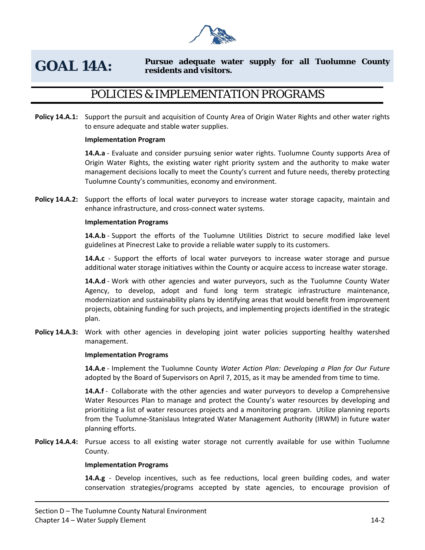

#### **GOAL 14A: Pursue adequate water supply for all Tuolumne County residents and visitors.**

## POLICIES & IMPLEMENTATION PROGRAMS

**Policy 14.A.1:** Support the pursuit and acquisition of County Area of Origin Water Rights and other water rights to ensure adequate and stable water supplies.

#### **Implementation Program**

**14.A.a** - Evaluate and consider pursuing senior water rights. Tuolumne County supports Area of Origin Water Rights, the existing water right priority system and the authority to make water management decisions locally to meet the County's current and future needs, thereby protecting Tuolumne County's communities, economy and environment.

**Policy 14.A.2:** Support the efforts of local water purveyors to increase water storage capacity, maintain and enhance infrastructure, and cross-connect water systems.

#### **Implementation Programs**

**14.A.b** - Support the efforts of the Tuolumne Utilities District to secure modified lake level guidelines at Pinecrest Lake to provide a reliable water supply to its customers.

**14.A.c** - Support the efforts of local water purveyors to increase water storage and pursue additional water storage initiatives within the County or acquire access to increase water storage.

**14.A.d** - Work with other agencies and water purveyors, such as the Tuolumne County Water Agency, to develop, adopt and fund long term strategic infrastructure maintenance, modernization and sustainability plans by identifying areas that would benefit from improvement projects, obtaining funding for such projects, and implementing projects identified in the strategic plan.

**Policy 14.A.3:** Work with other agencies in developing joint water policies supporting healthy watershed management.

#### **Implementation Programs**

**14.A.e** - Implement the Tuolumne County *Water Action Plan: Developing a Plan for Our Future*  adopted by the Board of Supervisors on April 7, 2015, as it may be amended from time to time.

**14.A.f** - Collaborate with the other agencies and water purveyors to develop a Comprehensive Water Resources Plan to manage and protect the County's water resources by developing and prioritizing a list of water resources projects and a monitoring program. Utilize planning reports from the Tuolumne-Stanislaus Integrated Water Management Authority (IRWM) in future water planning efforts.

**Policy 14.A.4:** Pursue access to all existing water storage not currently available for use within Tuolumne County.

#### **Implementation Programs**

**14.A.g** - Develop incentives, such as fee reductions, local green building codes, and water conservation strategies/programs accepted by state agencies, to encourage provision of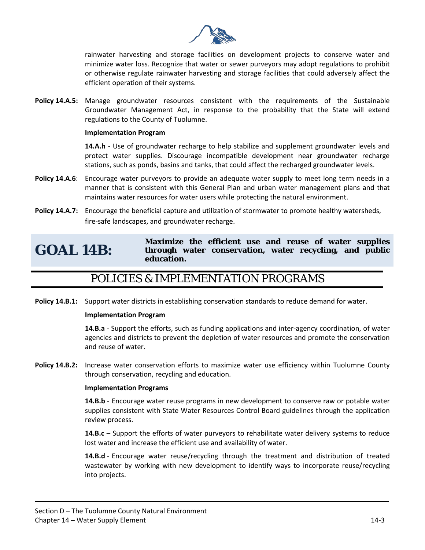

rainwater harvesting and storage facilities on development projects to conserve water and minimize water loss. Recognize that water or sewer purveyors may adopt regulations to prohibit or otherwise regulate rainwater harvesting and storage facilities that could adversely affect the efficient operation of their systems.

**Policy 14.A.5:** Manage groundwater resources consistent with the requirements of the Sustainable Groundwater Management Act, in response to the probability that the State will extend regulations to the County of Tuolumne.

#### **Implementation Program**

**14.A.h** - Use of groundwater recharge to help stabilize and supplement groundwater levels and protect water supplies. Discourage incompatible development near groundwater recharge stations, such as ponds, basins and tanks, that could affect the recharged groundwater levels.

- **Policy 14.A.6:** Encourage water purveyors to provide an adequate water supply to meet long term needs in a manner that is consistent with this General Plan and urban water management plans and that maintains water resources for water users while protecting the natural environment.
- **Policy 14.A.7:** Encourage the beneficial capture and utilization of stormwater to promote healthy watersheds, fire-safe landscapes, and groundwater recharge.

## **GOAL 14B:**

**Maximize the efficient use and reuse of water supplies through water conservation, water recycling, and public education.** 

#### POLICIES & IMPLEMENTATION PROGRAMS

**Policy 14.B.1:** Support water districts in establishing conservation standards to reduce demand for water.

#### **Implementation Program**

**14.B.a** - Support the efforts, such as funding applications and inter-agency coordination, of water agencies and districts to prevent the depletion of water resources and promote the conservation and reuse of water.

**Policy 14.B.2:** Increase water conservation efforts to maximize water use efficiency within Tuolumne County through conservation, recycling and education.

#### **Implementation Programs**

**14.B.b** - Encourage water reuse programs in new development to conserve raw or potable water supplies consistent with State Water Resources Control Board guidelines through the application review process.

**14.B.c** – Support the efforts of water purveyors to rehabilitate water delivery systems to reduce lost water and increase the efficient use and availability of water.

**14.B.d** - Encourage water reuse/recycling through the treatment and distribution of treated wastewater by working with new development to identify ways to incorporate reuse/recycling into projects.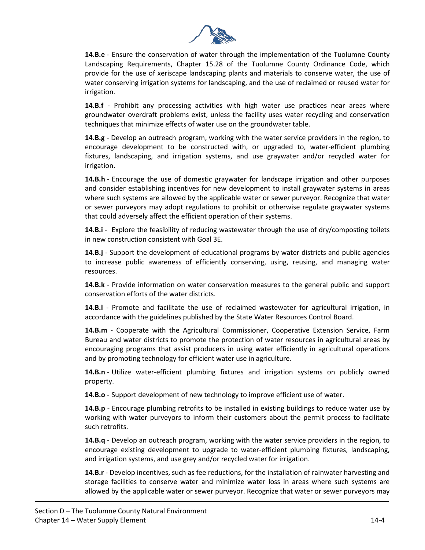

**14.B.e** - Ensure the conservation of water through the implementation of the Tuolumne County Landscaping Requirements, Chapter 15.28 of the Tuolumne County Ordinance Code, which provide for the use of xeriscape landscaping plants and materials to conserve water, the use of water conserving irrigation systems for landscaping, and the use of reclaimed or reused water for irrigation.

**14.B.f** - Prohibit any processing activities with high water use practices near areas where groundwater overdraft problems exist, unless the facility uses water recycling and conservation techniques that minimize effects of water use on the groundwater table.

**14.B.g** - Develop an outreach program, working with the water service providers in the region, to encourage development to be constructed with, or upgraded to, water-efficient plumbing fixtures, landscaping, and irrigation systems, and use graywater and/or recycled water for irrigation.

**14.B.h** - Encourage the use of domestic graywater for landscape irrigation and other purposes and consider establishing incentives for new development to install graywater systems in areas where such systems are allowed by the applicable water or sewer purveyor. Recognize that water or sewer purveyors may adopt regulations to prohibit or otherwise regulate graywater systems that could adversely affect the efficient operation of their systems.

**14.B.i** - Explore the feasibility of reducing wastewater through the use of dry/composting toilets in new construction consistent with Goal 3E.

**14.B.j** - Support the development of educational programs by water districts and public agencies to increase public awareness of efficiently conserving, using, reusing, and managing water resources.

**14.B.k** - Provide information on water conservation measures to the general public and support conservation efforts of the water districts.

**14.B.l** - Promote and facilitate the use of reclaimed wastewater for agricultural irrigation, in accordance with the guidelines published by the State Water Resources Control Board.

**14.B.m** - Cooperate with the Agricultural Commissioner, Cooperative Extension Service, Farm Bureau and water districts to promote the protection of water resources in agricultural areas by encouraging programs that assist producers in using water efficiently in agricultural operations and by promoting technology for efficient water use in agriculture.

**14.B.n** - Utilize water-efficient plumbing fixtures and irrigation systems on publicly owned property.

**14.B.o** - Support development of new technology to improve efficient use of water.

**14.B.p** - Encourage plumbing retrofits to be installed in existing buildings to reduce water use by working with water purveyors to inform their customers about the permit process to facilitate such retrofits.

**14.B.q** - Develop an outreach program, working with the water service providers in the region, to encourage existing development to upgrade to water-efficient plumbing fixtures, landscaping, and irrigation systems, and use grey and/or recycled water for irrigation.

**14.B.r** - Develop incentives, such as fee reductions, for the installation of rainwater harvesting and storage facilities to conserve water and minimize water loss in areas where such systems are allowed by the applicable water or sewer purveyor. Recognize that water or sewer purveyors may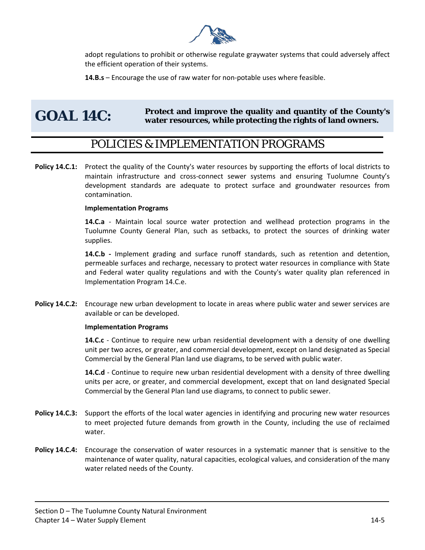

adopt regulations to prohibit or otherwise regulate graywater systems that could adversely affect the efficient operation of their systems.

**14.B.s** – Encourage the use of raw water for non-potable uses where feasible.

## GOAL 14C: Protect and improve the quality and quantity of the County's water resources, while protecting the rights of land owners.

#### POLICIES & IMPLEMENTATION PROGRAMS

**Policy 14.C.1:** Protect the quality of the County's water resources by supporting the efforts of local districts to maintain infrastructure and cross-connect sewer systems and ensuring Tuolumne County's development standards are adequate to protect surface and groundwater resources from contamination.

#### **Implementation Programs**

**14.C.a** - Maintain local source water protection and wellhead protection programs in the Tuolumne County General Plan, such as setbacks, to protect the sources of drinking water supplies.

**14.C.b -** Implement grading and surface runoff standards, such as retention and detention, permeable surfaces and recharge, necessary to protect water resources in compliance with State and Federal water quality regulations and with the County's water quality plan referenced in Implementation Program 14.C.e.

**Policy 14.C.2:** Encourage new urban development to locate in areas where public water and sewer services are available or can be developed.

#### **Implementation Programs**

**14.C.c** - Continue to require new urban residential development with a density of one dwelling unit per two acres, or greater, and commercial development, except on land designated as Special Commercial by the General Plan land use diagrams, to be served with public water.

**14.C.d** - Continue to require new urban residential development with a density of three dwelling units per acre, or greater, and commercial development, except that on land designated Special Commercial by the General Plan land use diagrams, to connect to public sewer.

- **Policy 14.C.3:** Support the efforts of the local water agencies in identifying and procuring new water resources to meet projected future demands from growth in the County, including the use of reclaimed water.
- **Policy 14.C.4:** Encourage the conservation of water resources in a systematic manner that is sensitive to the maintenance of water quality, natural capacities, ecological values, and consideration of the many water related needs of the County.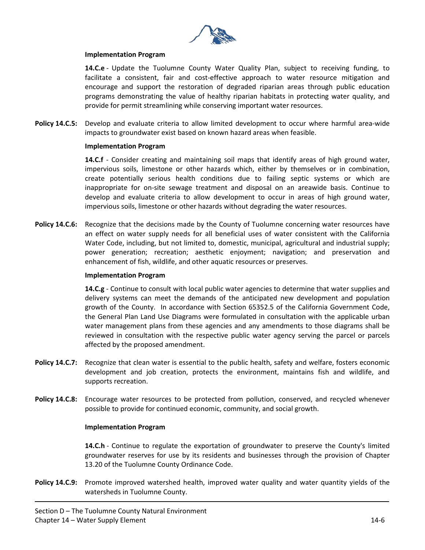

#### **Implementation Program**

**14.C.e** - Update the Tuolumne County Water Quality Plan, subject to receiving funding, to facilitate a consistent, fair and cost-effective approach to water resource mitigation and encourage and support the restoration of degraded riparian areas through public education programs demonstrating the value of healthy riparian habitats in protecting water quality, and provide for permit streamlining while conserving important water resources.

**Policy 14.C.5:** Develop and evaluate criteria to allow limited development to occur where harmful area-wide impacts to groundwater exist based on known hazard areas when feasible.

#### **Implementation Program**

**14.C.f** - Consider creating and maintaining soil maps that identify areas of high ground water, impervious soils, limestone or other hazards which, either by themselves or in combination, create potentially serious health conditions due to failing septic systems or which are inappropriate for on-site sewage treatment and disposal on an areawide basis. Continue to develop and evaluate criteria to allow development to occur in areas of high ground water, impervious soils, limestone or other hazards without degrading the water resources.

Policy 14.C.6: Recognize that the decisions made by the County of Tuolumne concerning water resources have an effect on water supply needs for all beneficial uses of water consistent with the California Water Code, including, but not limited to, domestic, municipal, agricultural and industrial supply; power generation; recreation; aesthetic enjoyment; navigation; and preservation and enhancement of fish, wildlife, and other aquatic resources or preserves.

#### **Implementation Program**

**14.C.g** - Continue to consult with local public water agencies to determine that water supplies and delivery systems can meet the demands of the anticipated new development and population growth of the County. In accordance with Section 65352.5 of the California Government Code, the General Plan Land Use Diagrams were formulated in consultation with the applicable urban water management plans from these agencies and any amendments to those diagrams shall be reviewed in consultation with the respective public water agency serving the parcel or parcels affected by the proposed amendment.

- **Policy 14.C.7:** Recognize that clean water is essential to the public health, safety and welfare, fosters economic development and job creation, protects the environment, maintains fish and wildlife, and supports recreation.
- **Policy 14.C.8:** Encourage water resources to be protected from pollution, conserved, and recycled whenever possible to provide for continued economic, community, and social growth.

#### **Implementation Program**

**14.C.h** - Continue to regulate the exportation of groundwater to preserve the County's limited groundwater reserves for use by its residents and businesses through the provision of Chapter 13.20 of the Tuolumne County Ordinance Code.

**Policy 14.C.9:** Promote improved watershed health, improved water quality and water quantity yields of the watersheds in Tuolumne County.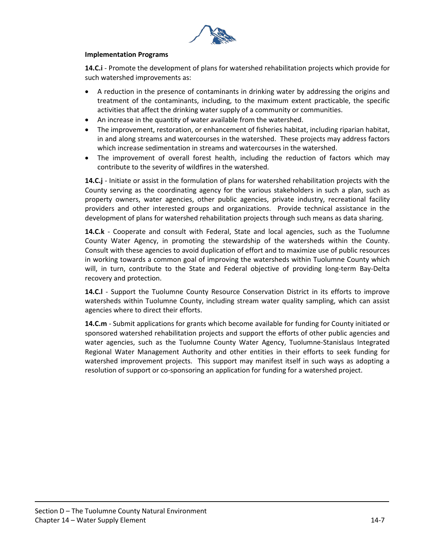

#### **Implementation Programs**

**14.C.i** - Promote the development of plans for watershed rehabilitation projects which provide for such watershed improvements as:

- A reduction in the presence of contaminants in drinking water by addressing the origins and treatment of the contaminants, including, to the maximum extent practicable, the specific activities that affect the drinking water supply of a community or communities.
- An increase in the quantity of water available from the watershed.
- The improvement, restoration, or enhancement of fisheries habitat, including riparian habitat, in and along streams and watercourses in the watershed. These projects may address factors which increase sedimentation in streams and watercourses in the watershed.
- The improvement of overall forest health, including the reduction of factors which may contribute to the severity of wildfires in the watershed.

**14.C.j** - Initiate or assist in the formulation of plans for watershed rehabilitation projects with the County serving as the coordinating agency for the various stakeholders in such a plan, such as property owners, water agencies, other public agencies, private industry, recreational facility providers and other interested groups and organizations. Provide technical assistance in the development of plans for watershed rehabilitation projects through such means as data sharing.

**14.C.k** - Cooperate and consult with Federal, State and local agencies, such as the Tuolumne County Water Agency, in promoting the stewardship of the watersheds within the County. Consult with these agencies to avoid duplication of effort and to maximize use of public resources in working towards a common goal of improving the watersheds within Tuolumne County which will, in turn, contribute to the State and Federal objective of providing long-term Bay-Delta recovery and protection.

**14.C.l** - Support the Tuolumne County Resource Conservation District in its efforts to improve watersheds within Tuolumne County, including stream water quality sampling, which can assist agencies where to direct their efforts.

**14.C.m** - Submit applications for grants which become available for funding for County initiated or sponsored watershed rehabilitation projects and support the efforts of other public agencies and water agencies, such as the Tuolumne County Water Agency, Tuolumne-Stanislaus Integrated Regional Water Management Authority and other entities in their efforts to seek funding for watershed improvement projects. This support may manifest itself in such ways as adopting a resolution of support or co-sponsoring an application for funding for a watershed project.